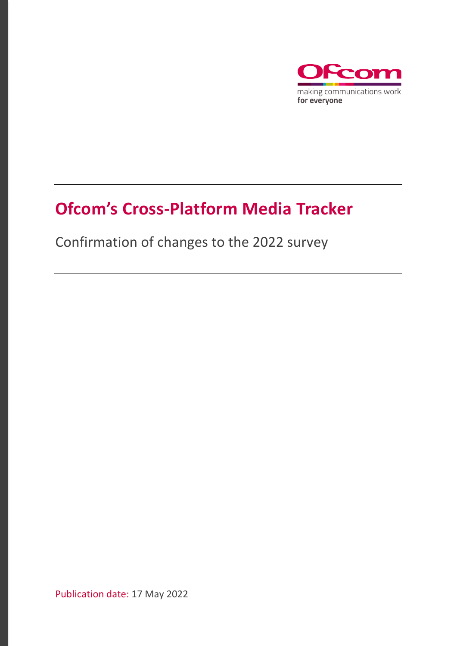

## **Ofcom's Cross-Platform Media Tracker**

Confirmation of changes to the 2022 survey

Publication date: 17 May 2022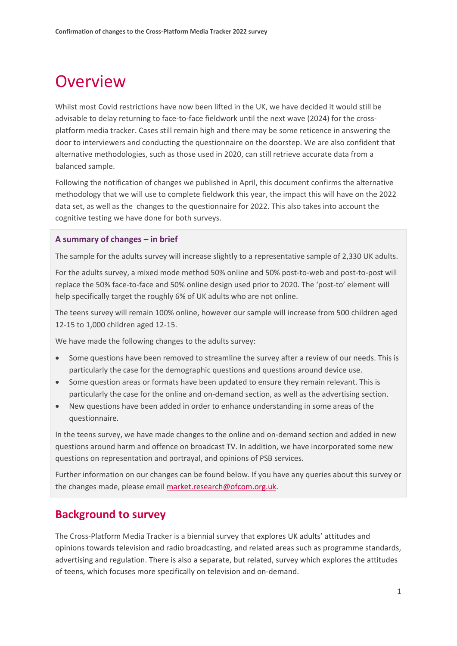## **Overview**

Whilst most Covid restrictions have now been lifted in the UK, we have decided it would still be advisable to delay returning to face-to-face fieldwork until the next wave (2024) for the crossplatform media tracker. Cases still remain high and there may be some reticence in answering the door to interviewers and conducting the questionnaire on the doorstep. We are also confident that alternative methodologies, such as those used in 2020, can still retrieve accurate data from a balanced sample.

Following the notification of changes we published in April, this document confirms the alternative methodology that we will use to complete fieldwork this year, the impact this will have on the 2022 data set, as well as the changes to the questionnaire for 2022. This also takes into account the cognitive testing we have done for both surveys.

#### **A summary of changes – in brief**

The sample for the adults survey will increase slightly to a representative sample of 2,330 UK adults.

For the adults survey, a mixed mode method 50% online and 50% post-to-web and post-to-post will replace the 50% face-to-face and 50% online design used prior to 2020. The 'post-to' element will help specifically target the roughly 6% of UK adults who are not online.

The teens survey will remain 100% online, however our sample will increase from 500 children aged 12-15 to 1,000 children aged 12-15.

We have made the following changes to the adults survey:

- Some questions have been removed to streamline the survey after a review of our needs. This is particularly the case for the demographic questions and questions around device use.
- Some question areas or formats have been updated to ensure they remain relevant. This is particularly the case for the online and on-demand section, as well as the advertising section.
- New questions have been added in order to enhance understanding in some areas of the questionnaire.

In the teens survey, we have made changes to the online and on-demand section and added in new questions around harm and offence on broadcast TV. In addition, we have incorporated some new questions on representation and portrayal, and opinions of PSB services.

Further information on our changes can be found below. If you have any queries about this survey or the changes made, please email [market.research@ofcom.org.uk.](mailto:market.research@ofcom.org.uk)

#### **Background to survey**

The Cross-Platform Media Tracker is a biennial survey that explores UK adults' attitudes and opinions towards television and radio broadcasting, and related areas such as programme standards, advertising and regulation. There is also a separate, but related, survey which explores the attitudes of teens, which focuses more specifically on television and on-demand.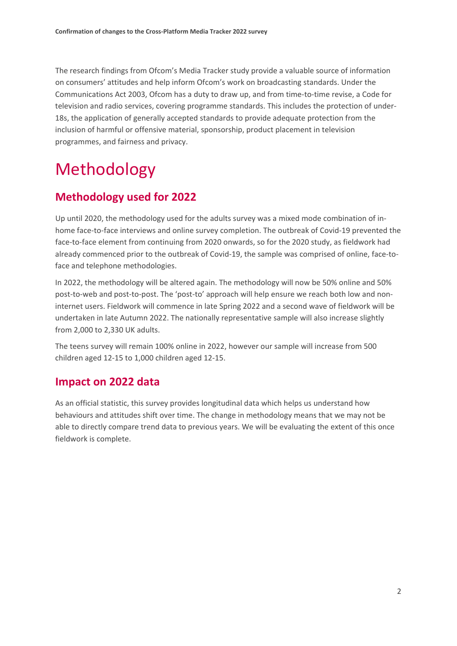The research findings from Ofcom's Media Tracker study provide a valuable source of information on consumers' attitudes and help inform Ofcom's work on broadcasting standards. Under the Communications Act 2003, Ofcom has a duty to draw up, and from time-to-time revise, a Code for television and radio services, covering programme standards. This includes the protection of under-18s, the application of generally accepted standards to provide adequate protection from the inclusion of harmful or offensive material, sponsorship, product placement in television programmes, and fairness and privacy.

# Methodology

## **Methodology used for 2022**

Up until 2020, the methodology used for the adults survey was a mixed mode combination of inhome face-to-face interviews and online survey completion. The outbreak of Covid-19 prevented the face-to-face element from continuing from 2020 onwards, so for the 2020 study, as fieldwork had already commenced prior to the outbreak of Covid-19, the sample was comprised of online, face-toface and telephone methodologies.

In 2022, the methodology will be altered again. The methodology will now be 50% online and 50% post-to-web and post-to-post. The 'post-to' approach will help ensure we reach both low and noninternet users. Fieldwork will commence in late Spring 2022 and a second wave of fieldwork will be undertaken in late Autumn 2022. The nationally representative sample will also increase slightly from 2,000 to 2,330 UK adults.

The teens survey will remain 100% online in 2022, however our sample will increase from 500 children aged 12-15 to 1,000 children aged 12-15.

### **Impact on 2022 data**

As an official statistic, this survey provides longitudinal data which helps us understand how behaviours and attitudes shift over time. The change in methodology means that we may not be able to directly compare trend data to previous years. We will be evaluating the extent of this once fieldwork is complete.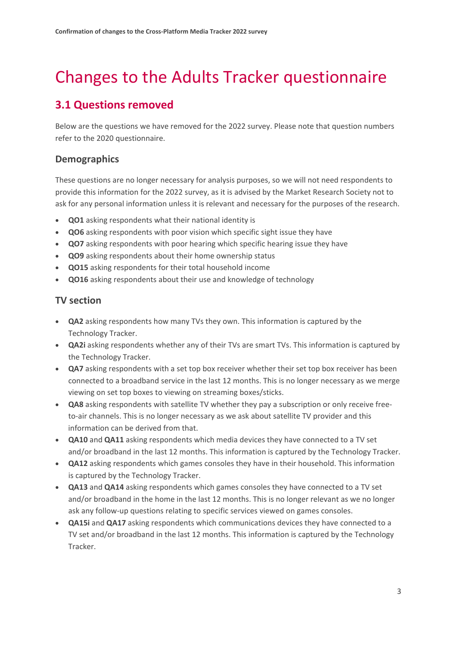## Changes to the Adults Tracker questionnaire

## **3.1 Questions removed**

Below are the questions we have removed for the 2022 survey. Please note that question numbers refer to the 2020 questionnaire.

#### **Demographics**

These questions are no longer necessary for analysis purposes, so we will not need respondents to provide this information for the 2022 survey, as it is advised by the Market Research Society not to ask for any personal information unless it is relevant and necessary for the purposes of the research.

- **QO1** asking respondents what their national identity is
- **QO6** asking respondents with poor vision which specific sight issue they have
- **QO7** asking respondents with poor hearing which specific hearing issue they have
- **QO9** asking respondents about their home ownership status
- **QO15** asking respondents for their total household income
- **QO16** asking respondents about their use and knowledge of technology

#### **TV section**

- **QA2** asking respondents how many TVs they own. This information is captured by the Technology Tracker.
- **QA2i** asking respondents whether any of their TVs are smart TVs. This information is captured by the Technology Tracker.
- **QA7** asking respondents with a set top box receiver whether their set top box receiver has been connected to a broadband service in the last 12 months. This is no longer necessary as we merge viewing on set top boxes to viewing on streaming boxes/sticks.
- **QA8** asking respondents with satellite TV whether they pay a subscription or only receive freeto-air channels. This is no longer necessary as we ask about satellite TV provider and this information can be derived from that.
- **QA10** and **QA11** asking respondents which media devices they have connected to a TV set and/or broadband in the last 12 months. This information is captured by the Technology Tracker.
- **QA12** asking respondents which games consoles they have in their household. This information is captured by the Technology Tracker.
- **QA13** and **QA14** asking respondents which games consoles they have connected to a TV set and/or broadband in the home in the last 12 months. This is no longer relevant as we no longer ask any follow-up questions relating to specific services viewed on games consoles.
- **QA15i** and **QA17** asking respondents which communications devices they have connected to a TV set and/or broadband in the last 12 months. This information is captured by the Technology Tracker.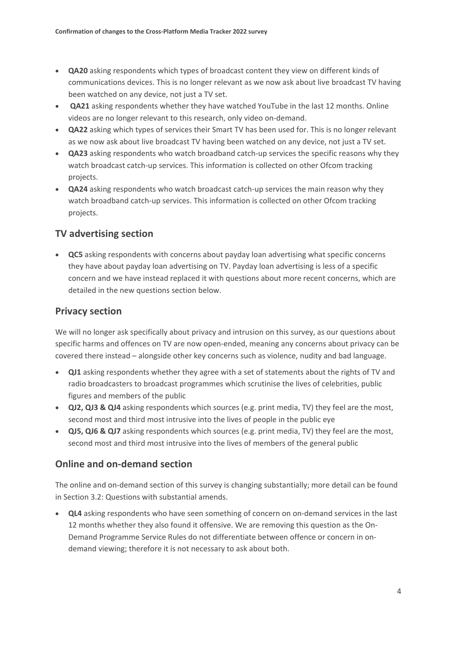- **QA20** asking respondents which types of broadcast content they view on different kinds of communications devices. This is no longer relevant as we now ask about live broadcast TV having been watched on any device, not just a TV set.
- **QA21** asking respondents whether they have watched YouTube in the last 12 months. Online videos are no longer relevant to this research, only video on-demand.
- **QA22** asking which types of services their Smart TV has been used for. This is no longer relevant as we now ask about live broadcast TV having been watched on any device, not just a TV set.
- **QA23** asking respondents who watch broadband catch-up services the specific reasons why they watch broadcast catch-up services. This information is collected on other Ofcom tracking projects.
- **QA24** asking respondents who watch broadcast catch-up services the main reason why they watch broadband catch-up services. This information is collected on other Ofcom tracking projects.

#### **TV advertising section**

• **QC5** asking respondents with concerns about payday loan advertising what specific concerns they have about payday loan advertising on TV. Payday loan advertising is less of a specific concern and we have instead replaced it with questions about more recent concerns, which are detailed in the new questions section below.

#### **Privacy section**

We will no longer ask specifically about privacy and intrusion on this survey, as our questions about specific harms and offences on TV are now open-ended, meaning any concerns about privacy can be covered there instead – alongside other key concerns such as violence, nudity and bad language.

- **QJ1** asking respondents whether they agree with a set of statements about the rights of TV and radio broadcasters to broadcast programmes which scrutinise the lives of celebrities, public figures and members of the public
- **QJ2, QJ3 & QJ4** asking respondents which sources (e.g. print media, TV) they feel are the most, second most and third most intrusive into the lives of people in the public eye
- **QJ5, QJ6 & QJ7** asking respondents which sources (e.g. print media, TV) they feel are the most, second most and third most intrusive into the lives of members of the general public

#### **Online and on-demand section**

The online and on-demand section of this survey is changing substantially; more detail can be found in Section 3.2: Questions with substantial amends.

• **QL4** asking respondents who have seen something of concern on on-demand services in the last 12 months whether they also found it offensive. We are removing this question as the On-Demand Programme Service Rules do not differentiate between offence or concern in ondemand viewing; therefore it is not necessary to ask about both.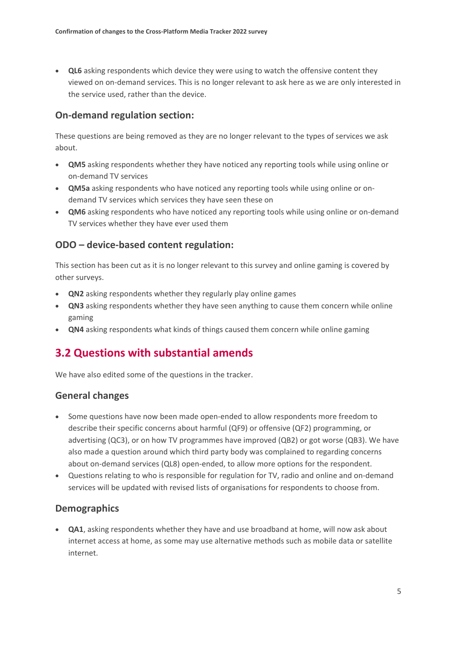• **QL6** asking respondents which device they were using to watch the offensive content they viewed on on-demand services. This is no longer relevant to ask here as we are only interested in the service used, rather than the device.

#### **On-demand regulation section:**

These questions are being removed as they are no longer relevant to the types of services we ask about.

- **QM5** asking respondents whether they have noticed any reporting tools while using online or on-demand TV services
- **QM5a** asking respondents who have noticed any reporting tools while using online or ondemand TV services which services they have seen these on
- **QM6** asking respondents who have noticed any reporting tools while using online or on-demand TV services whether they have ever used them

#### **ODO – device-based content regulation:**

This section has been cut as it is no longer relevant to this survey and online gaming is covered by other surveys.

- **QN2** asking respondents whether they regularly play online games
- **QN3** asking respondents whether they have seen anything to cause them concern while online gaming
- **QN4** asking respondents what kinds of things caused them concern while online gaming

### **3.2 Questions with substantial amends**

We have also edited some of the questions in the tracker.

#### **General changes**

- Some questions have now been made open-ended to allow respondents more freedom to describe their specific concerns about harmful (QF9) or offensive (QF2) programming, or advertising (QC3), or on how TV programmes have improved (QB2) or got worse (QB3). We have also made a question around which third party body was complained to regarding concerns about on-demand services (QL8) open-ended, to allow more options for the respondent.
- Questions relating to who is responsible for regulation for TV, radio and online and on-demand services will be updated with revised lists of organisations for respondents to choose from.

#### **Demographics**

• **QA1**, asking respondents whether they have and use broadband at home, will now ask about internet access at home, as some may use alternative methods such as mobile data or satellite internet.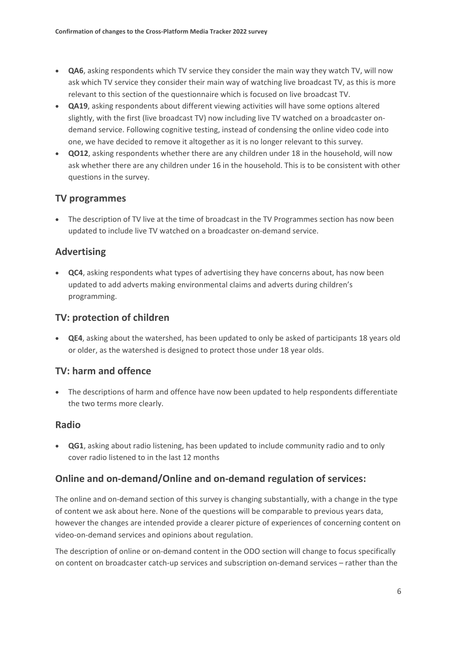- **QA6**, asking respondents which TV service they consider the main way they watch TV, will now ask which TV service they consider their main way of watching live broadcast TV, as this is more relevant to this section of the questionnaire which is focused on live broadcast TV.
- **QA19**, asking respondents about different viewing activities will have some options altered slightly, with the first (live broadcast TV) now including live TV watched on a broadcaster ondemand service. Following cognitive testing, instead of condensing the online video code into one, we have decided to remove it altogether as it is no longer relevant to this survey.
- **QO12**, asking respondents whether there are any children under 18 in the household, will now ask whether there are any children under 16 in the household. This is to be consistent with other questions in the survey.

#### **TV programmes**

• The description of TV live at the time of broadcast in the TV Programmes section has now been updated to include live TV watched on a broadcaster on-demand service.

#### **Advertising**

• **QC4**, asking respondents what types of advertising they have concerns about, has now been updated to add adverts making environmental claims and adverts during children's programming.

#### **TV: protection of children**

• **QE4**, asking about the watershed, has been updated to only be asked of participants 18 years old or older, as the watershed is designed to protect those under 18 year olds.

#### **TV: harm and offence**

• The descriptions of harm and offence have now been updated to help respondents differentiate the two terms more clearly.

#### **Radio**

• **QG1**, asking about radio listening, has been updated to include community radio and to only cover radio listened to in the last 12 months

#### **Online and on-demand/Online and on-demand regulation of services:**

The online and on-demand section of this survey is changing substantially, with a change in the type of content we ask about here. None of the questions will be comparable to previous years data, however the changes are intended provide a clearer picture of experiences of concerning content on video-on-demand services and opinions about regulation.

The description of online or on-demand content in the ODO section will change to focus specifically on content on broadcaster catch-up services and subscription on-demand services – rather than the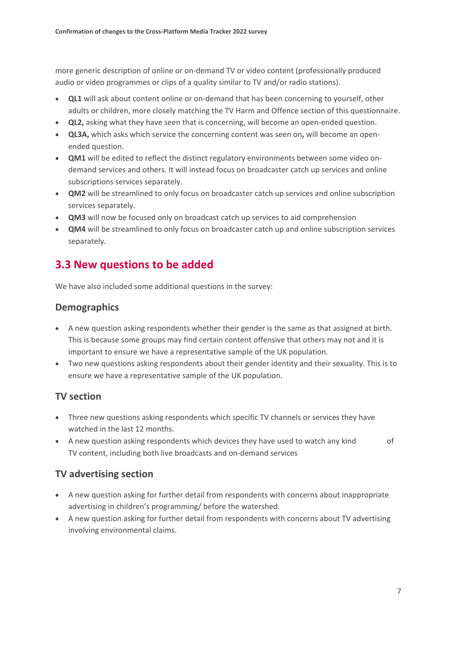more generic description of online or on-demand TV or video content (professionally produced audio or video programmes or clips of a quality similar to TV and/or radio stations).

- **QL1** will ask about content online or on-demand that has been concerning to yourself, other adults or children, more closely matching the TV Harm and Offence section of this questionnaire.
- **QL2,** asking what they have seen that is concerning, will become an open-ended question.
- **QL3A,** which asks which service the concerning content was seen on**,** will become an openended question.
- **QM1** will be edited to reflect the distinct regulatory environments between some video ondemand services and others. It will instead focus on broadcaster catch up services and online subscriptions services separately.
- **QM2** will be streamlined to only focus on broadcaster catch up services and online subscription services separately.
- **QM3** will now be focused only on broadcast catch up services to aid comprehension
- **QM4** will be streamlined to only focus on broadcaster catch up and online subscription services separately.

### **3.3 New questions to be added**

We have also included some additional questions in the survey:

#### **Demographics**

- A new question asking respondents whether their gender is the same as that assigned at birth. This is because some groups may find certain content offensive that others may not and it is important to ensure we have a representative sample of the UK population.
- Two new questions asking respondents about their gender identity and their sexuality. This is to ensure we have a representative sample of the UK population.

#### **TV section**

- Three new questions asking respondents which specific TV channels or services they have watched in the last 12 months.
- A new question asking respondents which devices they have used to watch any kind of TV content, including both live broadcasts and on-demand services

#### **TV advertising section**

- A new question asking for further detail from respondents with concerns about inappropriate advertising in children's programming/ before the watershed.
- A new question asking for further detail from respondents with concerns about TV advertising involving environmental claims.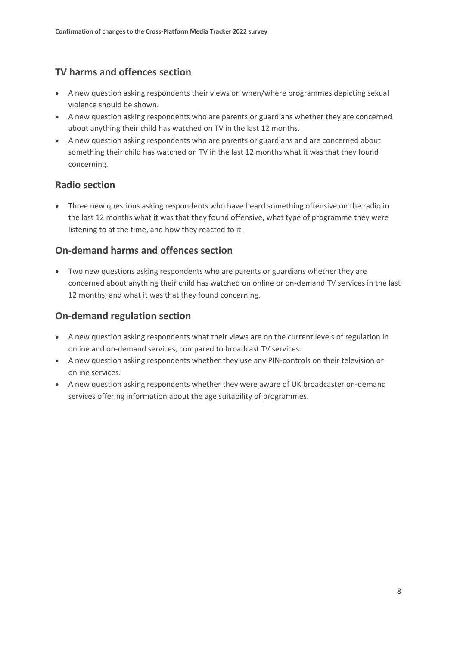#### **TV harms and offences section**

- A new question asking respondents their views on when/where programmes depicting sexual violence should be shown.
- A new question asking respondents who are parents or guardians whether they are concerned about anything their child has watched on TV in the last 12 months.
- A new question asking respondents who are parents or guardians and are concerned about something their child has watched on TV in the last 12 months what it was that they found concerning.

#### **Radio section**

• Three new questions asking respondents who have heard something offensive on the radio in the last 12 months what it was that they found offensive, what type of programme they were listening to at the time, and how they reacted to it.

#### **On-demand harms and offences section**

• Two new questions asking respondents who are parents or guardians whether they are concerned about anything their child has watched on online or on-demand TV services in the last 12 months, and what it was that they found concerning.

#### **On-demand regulation section**

- A new question asking respondents what their views are on the current levels of regulation in online and on-demand services, compared to broadcast TV services.
- A new question asking respondents whether they use any PIN-controls on their television or online services.
- A new question asking respondents whether they were aware of UK broadcaster on-demand services offering information about the age suitability of programmes.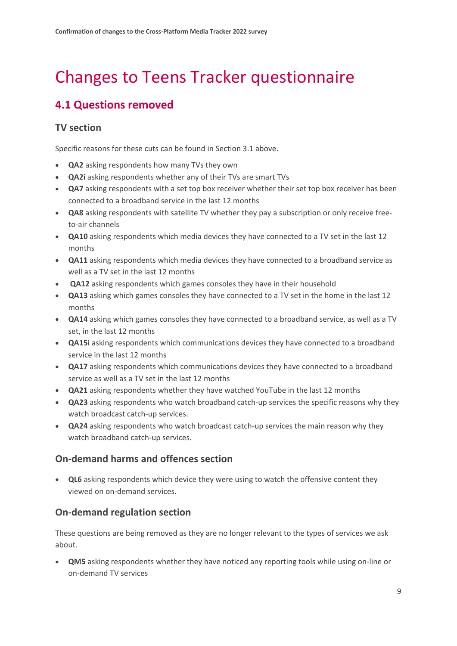## Changes to Teens Tracker questionnaire

## **4.1 Questions removed**

#### **TV section**

Specific reasons for these cuts can be found in Section 3.1 above.

- **QA2** asking respondents how many TVs they own
- **QA2i** asking respondents whether any of their TVs are smart TVs
- **QA7** asking respondents with a set top box receiver whether their set top box receiver has been connected to a broadband service in the last 12 months
- **QA8** asking respondents with satellite TV whether they pay a subscription or only receive freeto-air channels
- **QA10** asking respondents which media devices they have connected to a TV set in the last 12 months
- **QA11** asking respondents which media devices they have connected to a broadband service as well as a TV set in the last 12 months
- **QA12** asking respondents which games consoles they have in their household
- **QA13** asking which games consoles they have connected to a TV set in the home in the last 12 months
- **QA14** asking which games consoles they have connected to a broadband service, as well as a TV set, in the last 12 months
- **QA15i** asking respondents which communications devices they have connected to a broadband service in the last 12 months
- **QA17** asking respondents which communications devices they have connected to a broadband service as well as a TV set in the last 12 months
- **QA21** asking respondents whether they have watched YouTube in the last 12 months
- **QA23** asking respondents who watch broadband catch-up services the specific reasons why they watch broadcast catch-up services.
- **QA24** asking respondents who watch broadcast catch-up services the main reason why they watch broadband catch-up services.

#### **On-demand harms and offences section**

• **QL6** asking respondents which device they were using to watch the offensive content they viewed on on-demand services.

#### **On-demand regulation section**

These questions are being removed as they are no longer relevant to the types of services we ask about.

• **QM5** asking respondents whether they have noticed any reporting tools while using on-line or on-demand TV services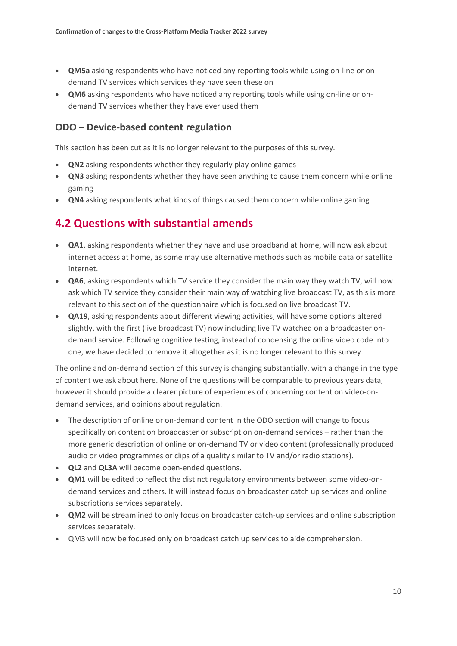- **QM5a** asking respondents who have noticed any reporting tools while using on-line or ondemand TV services which services they have seen these on
- **QM6** asking respondents who have noticed any reporting tools while using on-line or ondemand TV services whether they have ever used them

#### **ODO – Device-based content regulation**

This section has been cut as it is no longer relevant to the purposes of this survey.

- **QN2** asking respondents whether they regularly play online games
- **QN3** asking respondents whether they have seen anything to cause them concern while online gaming
- **QN4** asking respondents what kinds of things caused them concern while online gaming

### **4.2 Questions with substantial amends**

- **QA1**, asking respondents whether they have and use broadband at home, will now ask about internet access at home, as some may use alternative methods such as mobile data or satellite internet.
- **QA6**, asking respondents which TV service they consider the main way they watch TV, will now ask which TV service they consider their main way of watching live broadcast TV, as this is more relevant to this section of the questionnaire which is focused on live broadcast TV.
- **QA19**, asking respondents about different viewing activities, will have some options altered slightly, with the first (live broadcast TV) now including live TV watched on a broadcaster ondemand service. Following cognitive testing, instead of condensing the online video code into one, we have decided to remove it altogether as it is no longer relevant to this survey.

The online and on-demand section of this survey is changing substantially, with a change in the type of content we ask about here. None of the questions will be comparable to previous years data, however it should provide a clearer picture of experiences of concerning content on video-ondemand services, and opinions about regulation.

- The description of online or on-demand content in the ODO section will change to focus specifically on content on broadcaster or subscription on-demand services – rather than the more generic description of online or on-demand TV or video content (professionally produced audio or video programmes or clips of a quality similar to TV and/or radio stations).
- **QL2** and **QL3A** will become open-ended questions.
- **QM1** will be edited to reflect the distinct regulatory environments between some video-ondemand services and others. It will instead focus on broadcaster catch up services and online subscriptions services separately.
- **QM2** will be streamlined to only focus on broadcaster catch-up services and online subscription services separately.
- QM3 will now be focused only on broadcast catch up services to aide comprehension.